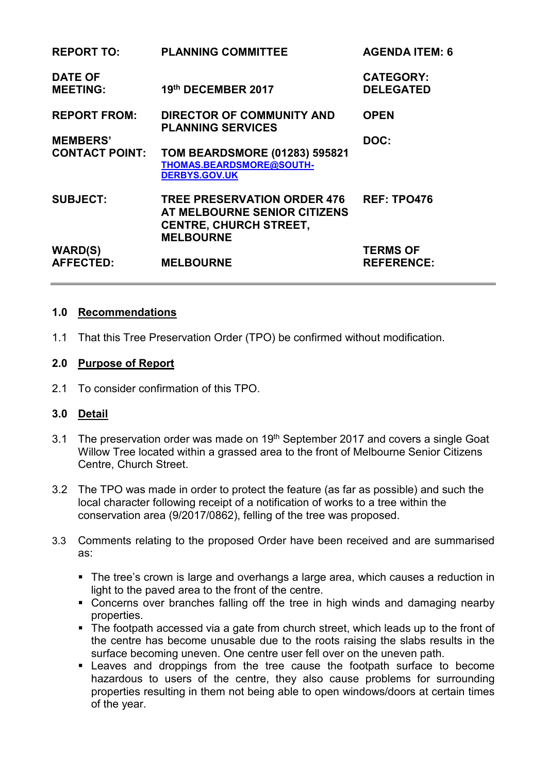| <b>REPORT TO:</b>                      | <b>PLANNING COMMITTEE</b>                                                                                               | <b>AGENDA ITEM: 6</b>                |
|----------------------------------------|-------------------------------------------------------------------------------------------------------------------------|--------------------------------------|
| <b>DATE OF</b><br><b>MEETING:</b>      | 19th DECEMBER 2017                                                                                                      | <b>CATEGORY:</b><br><b>DELEGATED</b> |
| <b>REPORT FROM:</b><br><b>MEMBERS'</b> | <b>DIRECTOR OF COMMUNITY AND</b><br><b>PLANNING SERVICES</b>                                                            | <b>OPEN</b><br>DOC:                  |
| <b>CONTACT POINT:</b>                  | TOM BEARDSMORE (01283) 595821<br>THOMAS.BEARDSMORE@SOUTH-<br><b>DERBYS.GOV.UK</b>                                       |                                      |
| <b>SUBJECT:</b>                        | <b>TREE PRESERVATION ORDER 476</b><br>AT MELBOURNE SENIOR CITIZENS<br><b>CENTRE, CHURCH STREET,</b><br><b>MELBOURNE</b> | <b>REF: TPO476</b>                   |
| <b>WARD(S)</b><br><b>AFFECTED:</b>     | <b>MELBOURNE</b>                                                                                                        | <b>TERMS OF</b><br><b>REFERENCE:</b> |

#### **1.0 Recommendations**

1.1 That this Tree Preservation Order (TPO) be confirmed without modification.

#### **2.0 Purpose of Report**

2.1 To consider confirmation of this TPO.

#### **3.0 Detail**

- 3.1 The preservation order was made on 19<sup>th</sup> September 2017 and covers a single Goat Willow Tree located within a grassed area to the front of Melbourne Senior Citizens Centre, Church Street.
- 3.2 The TPO was made in order to protect the feature (as far as possible) and such the local character following receipt of a notification of works to a tree within the conservation area (9/2017/0862), felling of the tree was proposed.
- 3.3 Comments relating to the proposed Order have been received and are summarised as:
	- The tree's crown is large and overhangs a large area, which causes a reduction in light to the paved area to the front of the centre.
	- Concerns over branches falling off the tree in high winds and damaging nearby properties.
	- The footpath accessed via a gate from church street, which leads up to the front of the centre has become unusable due to the roots raising the slabs results in the surface becoming uneven. One centre user fell over on the uneven path.
	- Leaves and droppings from the tree cause the footpath surface to become hazardous to users of the centre, they also cause problems for surrounding properties resulting in them not being able to open windows/doors at certain times of the year.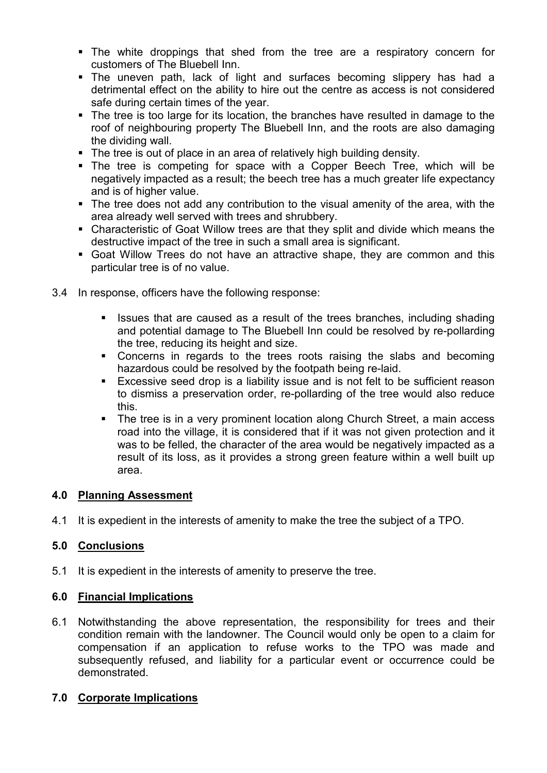- The white droppings that shed from the tree are a respiratory concern for customers of The Bluebell Inn.
- The uneven path, lack of light and surfaces becoming slippery has had a detrimental effect on the ability to hire out the centre as access is not considered safe during certain times of the year.
- The tree is too large for its location, the branches have resulted in damage to the roof of neighbouring property The Bluebell Inn, and the roots are also damaging the dividing wall.
- The tree is out of place in an area of relatively high building density.
- The tree is competing for space with a Copper Beech Tree, which will be negatively impacted as a result; the beech tree has a much greater life expectancy and is of higher value.
- The tree does not add any contribution to the visual amenity of the area, with the area already well served with trees and shrubbery.
- Characteristic of Goat Willow trees are that they split and divide which means the destructive impact of the tree in such a small area is significant.
- Goat Willow Trees do not have an attractive shape, they are common and this particular tree is of no value.
- 3.4 In response, officers have the following response:
	- In Issues that are caused as a result of the trees branches, including shading and potential damage to The Bluebell Inn could be resolved by re-pollarding the tree, reducing its height and size.
	- Concerns in regards to the trees roots raising the slabs and becoming hazardous could be resolved by the footpath being re-laid.
	- Excessive seed drop is a liability issue and is not felt to be sufficient reason to dismiss a preservation order, re-pollarding of the tree would also reduce this.
	- The tree is in a very prominent location along Church Street, a main access road into the village, it is considered that if it was not given protection and it was to be felled, the character of the area would be negatively impacted as a result of its loss, as it provides a strong green feature within a well built up area.

## **4.0 Planning Assessment**

4.1 It is expedient in the interests of amenity to make the tree the subject of a TPO.

## **5.0 Conclusions**

5.1 It is expedient in the interests of amenity to preserve the tree.

#### **6.0 Financial Implications**

6.1 Notwithstanding the above representation, the responsibility for trees and their condition remain with the landowner. The Council would only be open to a claim for compensation if an application to refuse works to the TPO was made and subsequently refused, and liability for a particular event or occurrence could be demonstrated.

## **7.0 Corporate Implications**